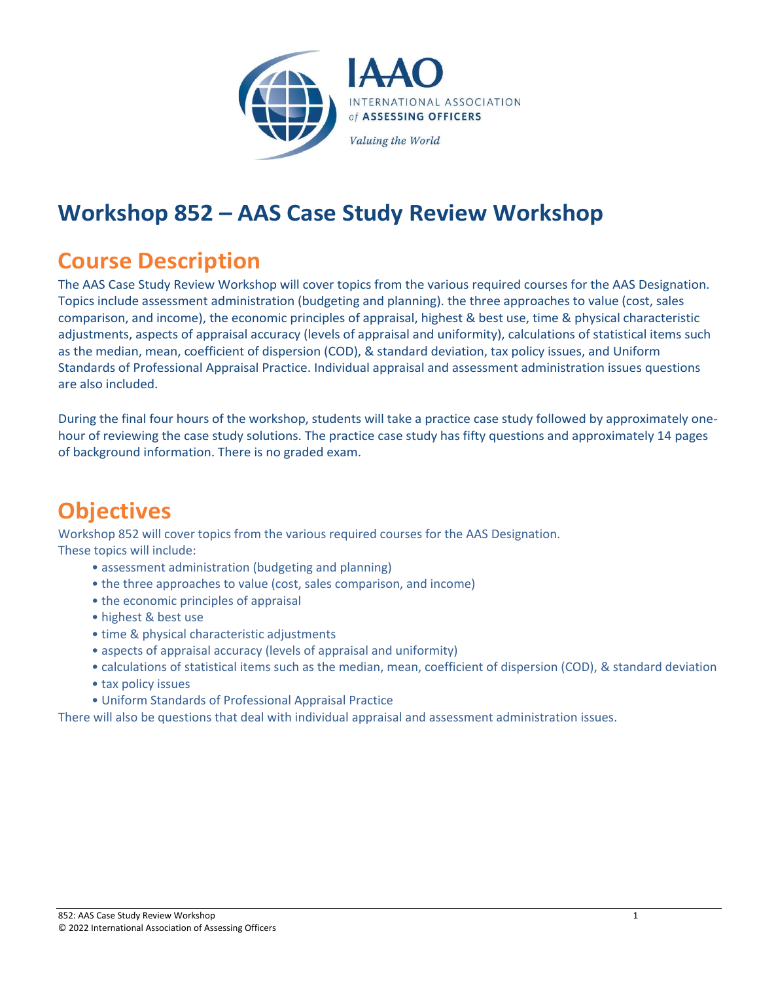

## **Workshop 852 – AAS Case Study Review Workshop**

## **Course Description**

The AAS Case Study Review Workshop will cover topics from the various required courses for the AAS Designation. Topics include assessment administration (budgeting and planning). the three approaches to value (cost, sales comparison, and income), the economic principles of appraisal, highest & best use, time & physical characteristic adjustments, aspects of appraisal accuracy (levels of appraisal and uniformity), calculations of statistical items such as the median, mean, coefficient of dispersion (COD), & standard deviation, tax policy issues, and Uniform Standards of Professional Appraisal Practice. Individual appraisal and assessment administration issues questions are also included.

During the final four hours of the workshop, students will take a practice case study followed by approximately onehour of reviewing the case study solutions. The practice case study has fifty questions and approximately 14 pages of background information. There is no graded exam.

## **Objectives**

Workshop 852 will cover topics from the various required courses for the AAS Designation. These topics will include:

- assessment administration (budgeting and planning)
- the three approaches to value (cost, sales comparison, and income)
- the economic principles of appraisal
- highest & best use
- time & physical characteristic adjustments
- aspects of appraisal accuracy (levels of appraisal and uniformity)
- calculations of statistical items such as the median, mean, coefficient of dispersion (COD), & standard deviation
- tax policy issues
- Uniform Standards of Professional Appraisal Practice

There will also be questions that deal with individual appraisal and assessment administration issues.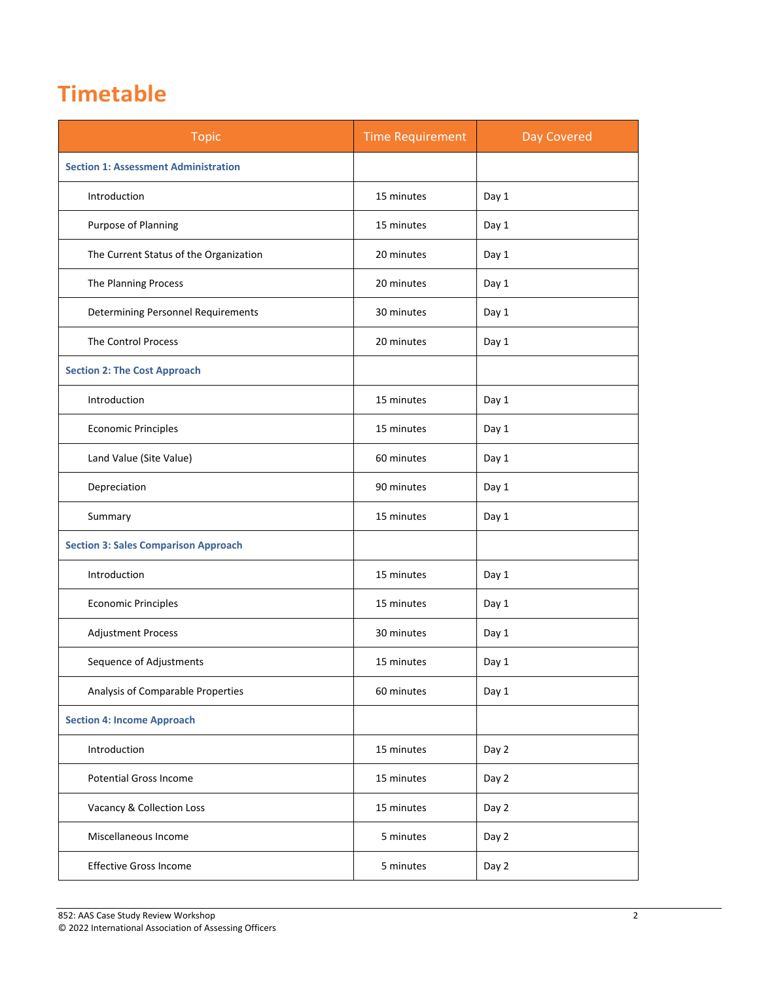## **Timetable**

| <b>Topic</b>                                | <b>Time Requirement</b> | Day Covered |
|---------------------------------------------|-------------------------|-------------|
| <b>Section 1: Assessment Administration</b> |                         |             |
| Introduction                                | 15 minutes              | Day 1       |
| Purpose of Planning                         | 15 minutes              | Day 1       |
| The Current Status of the Organization      | 20 minutes              | Day 1       |
| The Planning Process                        | 20 minutes              | Day 1       |
| <b>Determining Personnel Requirements</b>   | 30 minutes              | Day 1       |
| <b>The Control Process</b>                  | 20 minutes              | Day 1       |
| <b>Section 2: The Cost Approach</b>         |                         |             |
| Introduction                                | 15 minutes              | Day 1       |
| <b>Economic Principles</b>                  | 15 minutes              | Day 1       |
| Land Value (Site Value)                     | 60 minutes              | Day 1       |
| Depreciation                                | 90 minutes              | Day 1       |
| Summary                                     | 15 minutes              | Day 1       |
| <b>Section 3: Sales Comparison Approach</b> |                         |             |
| Introduction                                | 15 minutes              | Day 1       |
| <b>Economic Principles</b>                  | 15 minutes              | Day 1       |
| <b>Adjustment Process</b>                   | 30 minutes              | Day 1       |
| Sequence of Adjustments                     | 15 minutes              | Day 1       |
| Analysis of Comparable Properties           | 60 minutes              | Day 1       |
| <b>Section 4: Income Approach</b>           |                         |             |
| Introduction                                | 15 minutes              | Day 2       |
| <b>Potential Gross Income</b>               | 15 minutes              | Day 2       |
| Vacancy & Collection Loss                   | 15 minutes              | Day 2       |
| Miscellaneous Income                        | 5 minutes               | Day 2       |
| <b>Effective Gross Income</b>               | 5 minutes               | Day 2       |